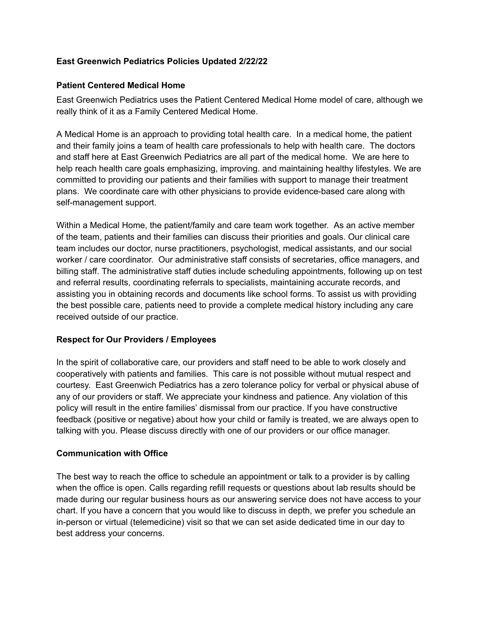### **East Greenwich Pediatrics Policies Updated 2/22/22**

#### **Patient Centered Medical Home**

East Greenwich Pediatrics uses the Patient Centered Medical Home model of care, although we really think of it as a Family Centered Medical Home.

A Medical Home is an approach to providing total health care. In a medical home, the patient and their family joins a team of health care professionals to help with health care. The doctors and staff here at East Greenwich Pediatrics are all part of the medical home. We are here to help reach health care goals emphasizing, improving. and maintaining healthy lifestyles. We are committed to providing our patients and their families with support to manage their treatment plans. We coordinate care with other physicians to provide evidence-based care along with self-management support.

Within a Medical Home, the patient/family and care team work together. As an active member of the team, patients and their families can discuss their priorities and goals. Our clinical care team includes our doctor, nurse practitioners, psychologist, medical assistants, and our social worker / care coordinator. Our administrative staff consists of secretaries, office managers, and billing staff. The administrative staff duties include scheduling appointments, following up on test and referral results, coordinating referrals to specialists, maintaining accurate records, and assisting you in obtaining records and documents like school forms. To assist us with providing the best possible care, patients need to provide a complete medical history including any care received outside of our practice.

#### **Respect for Our Providers / Employees**

In the spirit of collaborative care, our providers and staff need to be able to work closely and cooperatively with patients and families. This care is not possible without mutual respect and courtesy. East Greenwich Pediatrics has a zero tolerance policy for verbal or physical abuse of any of our providers or staff. We appreciate your kindness and patience. Any violation of this policy will result in the entire families' dismissal from our practice. If you have constructive feedback (positive or negative) about how your child or family is treated, we are always open to talking with you. Please discuss directly with one of our providers or our office manager.

#### **Communication with Office**

The best way to reach the office to schedule an appointment or talk to a provider is by calling when the office is open. Calls regarding refill requests or questions about lab results should be made during our regular business hours as our answering service does not have access to your chart. If you have a concern that you would like to discuss in depth, we prefer you schedule an in-person or virtual (telemedicine) visit so that we can set aside dedicated time in our day to best address your concerns.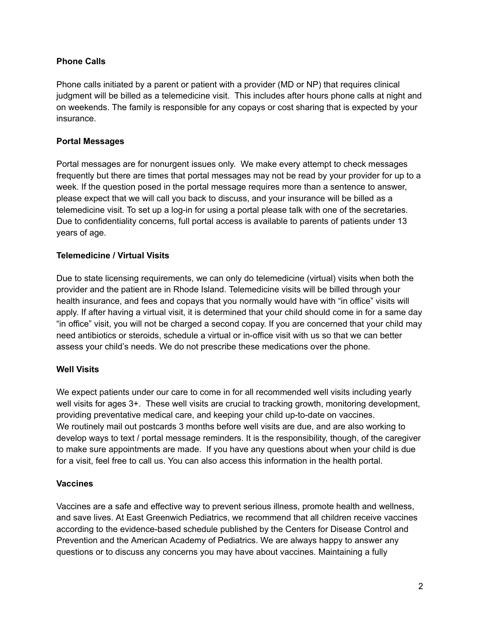### **Phone Calls**

Phone calls initiated by a parent or patient with a provider (MD or NP) that requires clinical judgment will be billed as a telemedicine visit. This includes after hours phone calls at night and on weekends. The family is responsible for any copays or cost sharing that is expected by your insurance.

### **Portal Messages**

Portal messages are for nonurgent issues only. We make every attempt to check messages frequently but there are times that portal messages may not be read by your provider for up to a week. If the question posed in the portal message requires more than a sentence to answer, please expect that we will call you back to discuss, and your insurance will be billed as a telemedicine visit. To set up a log-in for using a portal please talk with one of the secretaries. Due to confidentiality concerns, full portal access is available to parents of patients under 13 years of age.

### **Telemedicine / Virtual Visits**

Due to state licensing requirements, we can only do telemedicine (virtual) visits when both the provider and the patient are in Rhode Island. Telemedicine visits will be billed through your health insurance, and fees and copays that you normally would have with "in office" visits will apply. If after having a virtual visit, it is determined that your child should come in for a same day "in office" visit, you will not be charged a second copay. If you are concerned that your child may need antibiotics or steroids, schedule a virtual or in-office visit with us so that we can better assess your child's needs. We do not prescribe these medications over the phone.

### **Well Visits**

We expect patients under our care to come in for all recommended well visits including yearly well visits for ages 3+. These well visits are crucial to tracking growth, monitoring development, providing preventative medical care, and keeping your child up-to-date on vaccines. We routinely mail out postcards 3 months before well visits are due, and are also working to develop ways to text / portal message reminders. It is the responsibility, though, of the caregiver to make sure appointments are made. If you have any questions about when your child is due for a visit, feel free to call us. You can also access this information in the health portal.

#### **Vaccines**

Vaccines are a safe and effective way to prevent serious illness, promote health and wellness, and save lives. At East Greenwich Pediatrics, we recommend that all children receive vaccines according to the evidence-based schedule published by the Centers for Disease Control and Prevention and the American Academy of Pediatrics. We are always happy to answer any questions or to discuss any concerns you may have about vaccines. Maintaining a fully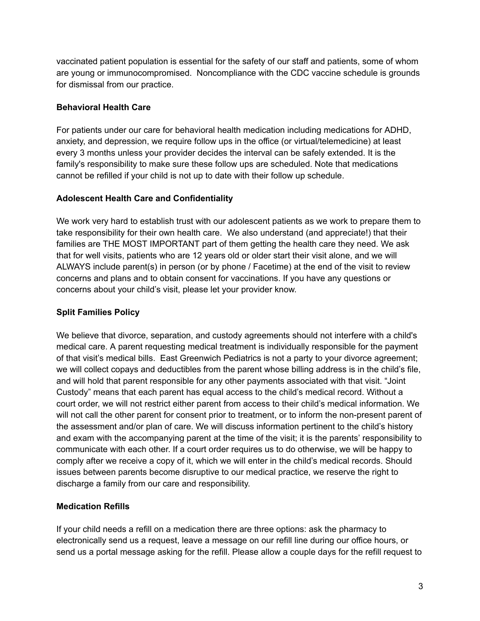vaccinated patient population is essential for the safety of our staff and patients, some of whom are young or immunocompromised. Noncompliance with the CDC vaccine schedule is grounds for dismissal from our practice.

# **Behavioral Health Care**

For patients under our care for behavioral health medication including medications for ADHD, anxiety, and depression, we require follow ups in the office (or virtual/telemedicine) at least every 3 months unless your provider decides the interval can be safely extended. It is the family's responsibility to make sure these follow ups are scheduled. Note that medications cannot be refilled if your child is not up to date with their follow up schedule.

# **Adolescent Health Care and Confidentiality**

We work very hard to establish trust with our adolescent patients as we work to prepare them to take responsibility for their own health care. We also understand (and appreciate!) that their families are THE MOST IMPORTANT part of them getting the health care they need. We ask that for well visits, patients who are 12 years old or older start their visit alone, and we will ALWAYS include parent(s) in person (or by phone / Facetime) at the end of the visit to review concerns and plans and to obtain consent for vaccinations. If you have any questions or concerns about your child's visit, please let your provider know.

# **Split Families Policy**

We believe that divorce, separation, and custody agreements should not interfere with a child's medical care. A parent requesting medical treatment is individually responsible for the payment of that visit's medical bills. East Greenwich Pediatrics is not a party to your divorce agreement; we will collect copays and deductibles from the parent whose billing address is in the child's file, and will hold that parent responsible for any other payments associated with that visit. "Joint Custody" means that each parent has equal access to the child's medical record. Without a court order, we will not restrict either parent from access to their child's medical information. We will not call the other parent for consent prior to treatment, or to inform the non-present parent of the assessment and/or plan of care. We will discuss information pertinent to the child's history and exam with the accompanying parent at the time of the visit; it is the parents' responsibility to communicate with each other. If a court order requires us to do otherwise, we will be happy to comply after we receive a copy of it, which we will enter in the child's medical records. Should issues between parents become disruptive to our medical practice, we reserve the right to discharge a family from our care and responsibility.

# **Medication Refills**

If your child needs a refill on a medication there are three options: ask the pharmacy to electronically send us a request, leave a message on our refill line during our office hours, or send us a portal message asking for the refill. Please allow a couple days for the refill request to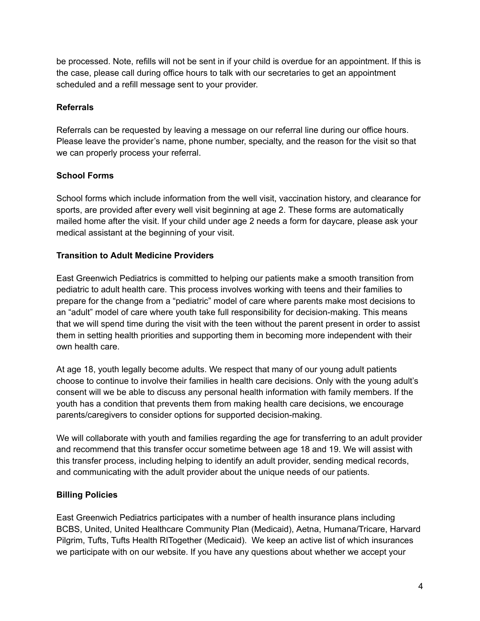be processed. Note, refills will not be sent in if your child is overdue for an appointment. If this is the case, please call during office hours to talk with our secretaries to get an appointment scheduled and a refill message sent to your provider.

## **Referrals**

Referrals can be requested by leaving a message on our referral line during our office hours. Please leave the provider's name, phone number, specialty, and the reason for the visit so that we can properly process your referral.

# **School Forms**

School forms which include information from the well visit, vaccination history, and clearance for sports, are provided after every well visit beginning at age 2. These forms are automatically mailed home after the visit. If your child under age 2 needs a form for daycare, please ask your medical assistant at the beginning of your visit.

# **Transition to Adult Medicine Providers**

East Greenwich Pediatrics is committed to helping our patients make a smooth transition from pediatric to adult health care. This process involves working with teens and their families to prepare for the change from a "pediatric" model of care where parents make most decisions to an "adult" model of care where youth take full responsibility for decision-making. This means that we will spend time during the visit with the teen without the parent present in order to assist them in setting health priorities and supporting them in becoming more independent with their own health care.

At age 18, youth legally become adults. We respect that many of our young adult patients choose to continue to involve their families in health care decisions. Only with the young adult's consent will we be able to discuss any personal health information with family members. If the youth has a condition that prevents them from making health care decisions, we encourage parents/caregivers to consider options for supported decision-making.

We will collaborate with youth and families regarding the age for transferring to an adult provider and recommend that this transfer occur sometime between age 18 and 19. We will assist with this transfer process, including helping to identify an adult provider, sending medical records, and communicating with the adult provider about the unique needs of our patients.

### **Billing Policies**

East Greenwich Pediatrics participates with a number of health insurance plans including BCBS, United, United Healthcare Community Plan (Medicaid), Aetna, Humana/Tricare, Harvard Pilgrim, Tufts, Tufts Health RITogether (Medicaid). We keep an active list of which insurances we participate with on our website. If you have any questions about whether we accept your